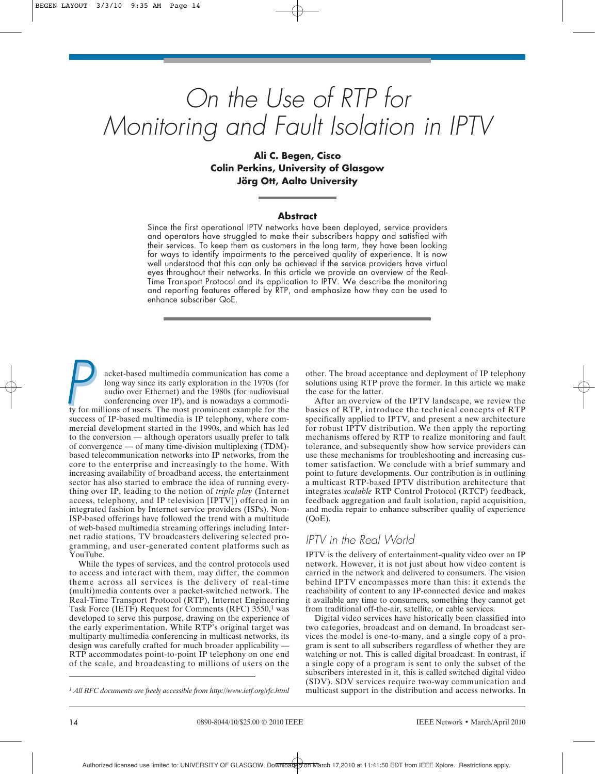# On the Use of RTP for Monitoring and Fault Isolation in IPTV

### **Ali C. Begen, Cisco Colin Perkins, University of Glasgow Jörg Ott, Aalto University**

#### **Abstract**

Since the first operational IPTV networks have been deployed, service providers and operators have struggled to make their subscribers happy and satisfied with their services. To keep them as customers in the long term, they have been looking for ways to identify impairments to the perceived quality of experience. It is now well understood that this can only be achieved if the service providers have virtual eyes throughout their networks. In this article we provide an overview of the Real-Time Transport Protocol and its application to IPTV. We describe the monitoring and reporting features offered by RTP, and emphasize how they can be used to enhance subscriber QoE.

acket-based multimedia communication has come a long way since its early exploration in the 1970s (for audio over Ethernet) and the 1980s (for audiovisual conferencing over IP), and is nowadays a commodity for millions of users. The most prominent example for the success of IP-based multimedia is IP telephony, where commercial development started in the 1990s, and which has led to the conversion — although operators usually prefer to talk of convergence — of many time-division multiplexing (TDM) based telecommunication networks into IP networks, from the core to the enterprise and increasingly to the home. With increasing availability of broadband access, the entertainment sector has also started to embrace the idea of running everything over IP, leading to the notion of *triple play* (Internet access, telephony, and IP television [IPTV]) offered in an integrated fashion by Internet service providers (ISPs). Non-ISP-based offerings have followed the trend with a multitude of web-based multimedia streaming offerings including Internet radio stations, TV broadcasters delivering selected programming, and user-generated content platforms such as YouTube. P P

While the types of services, and the control protocols used to access and interact with them, may differ, the common theme across all services is the delivery of real-time (multi)media contents over a packet-switched network. The Real-Time Transport Protocol (RTP), Internet Engineering Task Force (IETF) Request for Comments (RFC) 3550,<sup>1</sup> was developed to serve this purpose, drawing on the experience of the early experimentation. While RTP's original target was multiparty multimedia conferencing in multicast networks, its design was carefully crafted for much broader applicability — RTP accommodates point-to-point IP telephony on one end of the scale, and broadcasting to millions of users on the

other. The broad acceptance and deployment of IP telephony solutions using RTP prove the former. In this article we make the case for the latter.

After an overview of the IPTV landscape, we review the basics of RTP, introduce the technical concepts of RTP specifically applied to IPTV, and present a new architecture for robust IPTV distribution. We then apply the reporting mechanisms offered by RTP to realize monitoring and fault tolerance, and subsequently show how service providers can use these mechanisms for troubleshooting and increasing customer satisfaction. We conclude with a brief summary and point to future developments. Our contribution is in outlining a multicast RTP-based IPTV distribution architecture that integrates *scalable* RTP Control Protocol (RTCP) feedback, feedback aggregation and fault isolation, rapid acquisition, and media repair to enhance subscriber quality of experience  $(QoE)$ .

## IPTV in the Real World

IPTV is the delivery of entertainment-quality video over an IP network. However, it is not just about how video content is carried in the network and delivered to consumers. The vision behind IPTV encompasses more than this: it extends the reachability of content to any IP-connected device and makes it available any time to consumers, something they cannot get from traditional off-the-air, satellite, or cable services.

Digital video services have historically been classified into two categories, broadcast and on demand. In broadcast services the model is one-to-many, and a single copy of a program is sent to all subscribers regardless of whether they are watching or not. This is called digital broadcast. In contrast, if a single copy of a program is sent to only the subset of the subscribers interested in it, this is called switched digital video (SDV). SDV services require two-way communication and multicast support in the distribution and access networks. In

*<sup>1</sup> All RFC documents are freely accessible from http://www.ietf.org/rfc.html*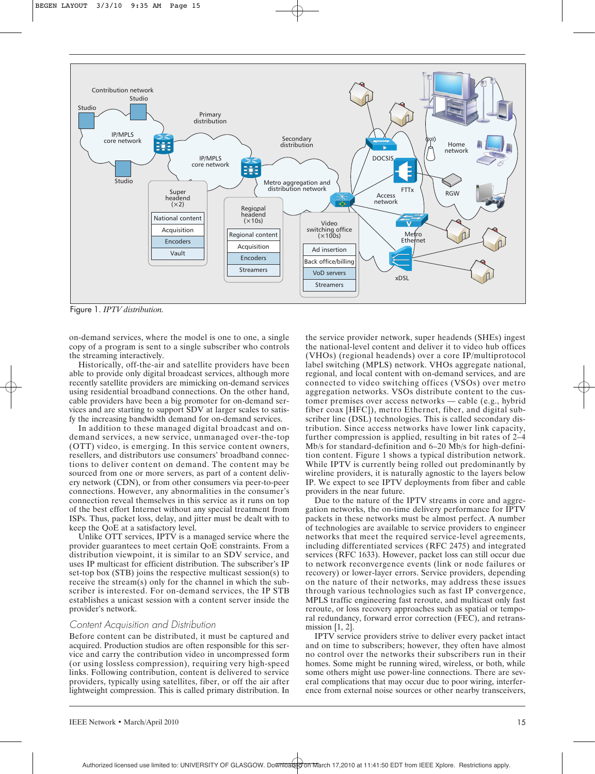

Figure 1. *IPTV distribution.*

on-demand services, where the model is one to one, a single copy of a program is sent to a single subscriber who controls the streaming interactively.

Historically, off-the-air and satellite providers have been able to provide only digital broadcast services, although more recently satellite providers are mimicking on-demand services using residential broadband connections. On the other hand, cable providers have been a big promoter for on-demand services and are starting to support SDV at larger scales to satisfy the increasing bandwidth demand for on-demand services.

In addition to these managed digital broadcast and ondemand services, a new service, unmanaged over-the-top (OTT) video, is emerging. In this service content owners, resellers, and distributors use consumers' broadband connections to deliver content on demand. The content may be sourced from one or more servers, as part of a content delivery network (CDN), or from other consumers via peer-to-peer connections. However, any abnormalities in the consumer's connection reveal themselves in this service as it runs on top of the best effort Internet without any special treatment from ISPs. Thus, packet loss, delay, and jitter must be dealt with to keep the QoE at a satisfactory level.

Unlike OTT services, IPTV is a managed service where the provider guarantees to meet certain QoE constraints. From a distribution viewpoint, it is similar to an SDV service, and uses IP multicast for efficient distribution. The subscriber's IP set-top box (STB) joins the respective multicast session(s) to receive the stream(s) only for the channel in which the subscriber is interested. For on-demand services, the IP STB establishes a unicast session with a content server inside the provider's network.

#### Content Acquisition and Distribution

Before content can be distributed, it must be captured and acquired. Production studios are often responsible for this service and carry the contribution video in uncompressed form (or using lossless compression), requiring very high-speed links. Following contribution, content is delivered to service providers, typically using satellites, fiber, or off the air after lightweight compression. This is called primary distribution. In

the service provider network, super headends (SHEs) ingest the national-level content and deliver it to video hub offices (VHOs) (regional headends) over a core IP/multiprotocol label switching (MPLS) network. VHOs aggregate national, regional, and local content with on-demand services, and are connected to video switching offices (VSOs) over metro aggregation networks. VSOs distribute content to the customer premises over access networks — cable (e.g., hybrid fiber coax [HFC]), metro Ethernet, fiber, and digital subscriber line (DSL) technologies. This is called secondary distribution. Since access networks have lower link capacity, further compression is applied, resulting in bit rates of 2–4 Mb/s for standard-definition and 6–20 Mb/s for high-definition content. Figure 1 shows a typical distribution network. While IPTV is currently being rolled out predominantly by wireline providers, it is naturally agnostic to the layers below IP. We expect to see IPTV deployments from fiber and cable providers in the near future.

Due to the nature of the IPTV streams in core and aggregation networks, the on-time delivery performance for IPTV packets in these networks must be almost perfect. A number of technologies are available to service providers to engineer networks that meet the required service-level agreements, including differentiated services (RFC 2475) and integrated services (RFC 1633). However, packet loss can still occur due to network reconvergence events (link or node failures or recovery) or lower-layer errors. Service providers, depending on the nature of their networks, may address these issues through various technologies such as fast IP convergence, MPLS traffic engineering fast reroute, and multicast only fast reroute, or loss recovery approaches such as spatial or temporal redundancy, forward error correction (FEC), and retransmission [1, 2].

IPTV service providers strive to deliver every packet intact and on time to subscribers; however, they often have almost no control over the networks their subscribers run in their homes. Some might be running wired, wireless, or both, while some others might use power-line connections. There are several complications that may occur due to poor wiring, interference from external noise sources or other nearby transceivers,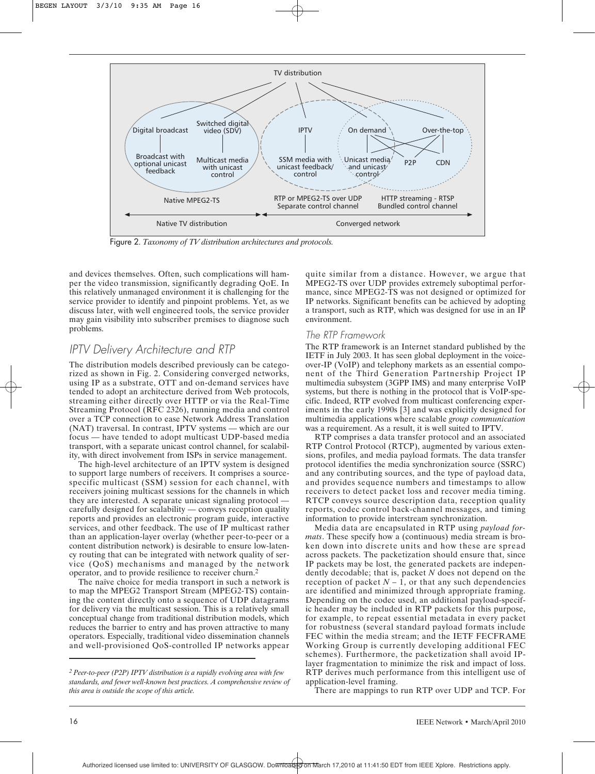

Figure 2. *Taxonomy of TV distribution architectures and protocols.*

and devices themselves. Often, such complications will hamper the video transmission, significantly degrading QoE. In this relatively unmanaged environment it is challenging for the service provider to identify and pinpoint problems. Yet, as we discuss later, with well engineered tools, the service provider may gain visibility into subscriber premises to diagnose such problems.

## IPTV Delivery Architecture and RTP

The distribution models described previously can be categorized as shown in Fig. 2. Considering converged networks, using IP as a substrate, OTT and on-demand services have tended to adopt an architecture derived from Web protocols, streaming either directly over HTTP or via the Real-Time Streaming Protocol (RFC 2326), running media and control over a TCP connection to ease Network Address Translation (NAT) traversal. In contrast, IPTV systems — which are our focus — have tended to adopt multicast UDP-based media transport, with a separate unicast control channel, for scalability, with direct involvement from ISPs in service management.

The high-level architecture of an IPTV system is designed to support large numbers of receivers. It comprises a sourcespecific multicast (SSM) session for each channel, with receivers joining multicast sessions for the channels in which they are interested. A separate unicast signaling protocol carefully designed for scalability — conveys reception quality reports and provides an electronic program guide, interactive services, and other feedback. The use of IP multicast rather than an application-layer overlay (whether peer-to-peer or a content distribution network) is desirable to ensure low-latency routing that can be integrated with network quality of service (QoS) mechanisms and managed by the network operator, and to provide resilience to receiver churn.2

The naïve choice for media transport in such a network is to map the MPEG2 Transport Stream (MPEG2-TS) containing the content directly onto a sequence of UDP datagrams for delivery via the multicast session. This is a relatively small conceptual change from traditional distribution models, which reduces the barrier to entry and has proven attractive to many operators. Especially, traditional video dissemination channels and well-provisioned QoS-controlled IP networks appear

quite similar from a distance. However, we argue that MPEG2-TS over UDP provides extremely suboptimal performance, since MPEG2-TS was not designed or optimized for IP networks. Significant benefits can be achieved by adopting a transport, such as RTP, which was designed for use in an IP environment.

#### The RTP Framework

The RTP framework is an Internet standard published by the IETF in July 2003. It has seen global deployment in the voiceover-IP (VoIP) and telephony markets as an essential component of the Third Generation Partnership Project IP multimedia subsystem (3GPP IMS) and many enterprise VoIP systems, but there is nothing in the protocol that is VoIP-specific. Indeed, RTP evolved from multicast conferencing experiments in the early 1990s [3] and was explicitly designed for multimedia applications where scalable *group communication* was a requirement. As a result, it is well suited to IPTV.

RTP comprises a data transfer protocol and an associated RTP Control Protocol (RTCP), augmented by various extensions, profiles, and media payload formats. The data transfer protocol identifies the media synchronization source (SSRC) and any contributing sources, and the type of payload data, and provides sequence numbers and timestamps to allow receivers to detect packet loss and recover media timing. RTCP conveys source description data, reception quality reports, codec control back-channel messages, and timing information to provide interstream synchronization.

Media data are encapsulated in RTP using *payload formats*. These specify how a (continuous) media stream is broken down into discrete units and how these are spread across packets. The packetization should ensure that, since IP packets may be lost, the generated packets are independently decodable; that is, packet *N* does not depend on the reception of packet  $N - 1$ , or that any such dependencies are identified and minimized through appropriate framing. Depending on the codec used, an additional payload-specific header may be included in RTP packets for this purpose, for example, to repeat essential metadata in every packet for robustness (several standard payload formats include FEC within the media stream; and the IETF FECFRAME Working Group is currently developing additional FEC schemes). Furthermore, the packetization shall avoid IPlayer fragmentation to minimize the risk and impact of loss. RTP derives much performance from this intelligent use of application-level framing.

There are mappings to run RTP over UDP and TCP. For

*<sup>2</sup> Peer-to-peer (P2P) IPTV distribution is a rapidly evolving area with few standards, and fewer well-known best practices. A comprehensive review of this area is outside the scope of this article.*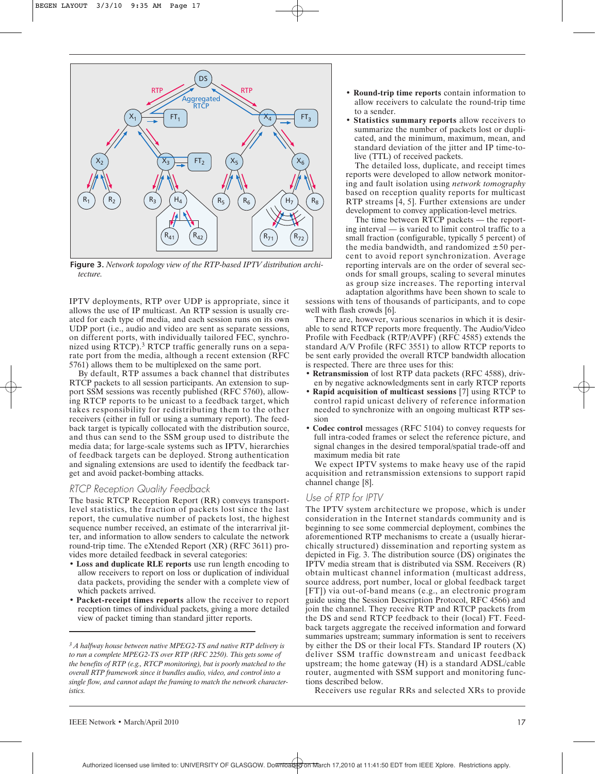

**Figure 3.** *Network topology view of the RTP-based IPTV distribution architecture.*

IPTV deployments, RTP over UDP is appropriate, since it allows the use of IP multicast. An RTP session is usually created for each type of media, and each session runs on its own UDP port (i.e., audio and video are sent as separate sessions, on different ports, with individually tailored FEC, synchronized using RTCP).3 RTCP traffic generally runs on a separate port from the media, although a recent extension (RFC 5761) allows them to be multiplexed on the same port.

By default, RTP assumes a back channel that distributes RTCP packets to all session participants. An extension to support SSM sessions was recently published (RFC 5760), allowing RTCP reports to be unicast to a feedback target, which takes responsibility for redistributing them to the other receivers (either in full or using a summary report). The feedback target is typically collocated with the distribution source, and thus can send to the SSM group used to distribute the media data; for large-scale systems such as IPTV, hierarchies of feedback targets can be deployed. Strong authentication and signaling extensions are used to identify the feedback target and avoid packet-bombing attacks.

#### RTCP Reception Quality Feedback

The basic RTCP Reception Report (RR) conveys transportlevel statistics, the fraction of packets lost since the last report, the cumulative number of packets lost, the highest sequence number received, an estimate of the interarrival jitter, and information to allow senders to calculate the network round-trip time. The eXtended Report (XR) (RFC 3611) provides more detailed feedback in several categories:

- **Loss and duplicate RLE reports** use run length encoding to allow receivers to report on loss or duplication of individual data packets, providing the sender with a complete view of which packets arrived.
- **Packet-receipt times reports** allow the receiver to report reception times of individual packets, giving a more detailed view of packet timing than standard jitter reports.
- **Round-trip time reports** contain information to allow receivers to calculate the round-trip time to a sender.
- **Statistics summary reports** allow receivers to summarize the number of packets lost or duplicated, and the minimum, maximum, mean, and standard deviation of the jitter and IP time-tolive (TTL) of received packets.

The detailed loss, duplicate, and receipt times reports were developed to allow network monitoring and fault isolation using *network tomography* based on reception quality reports for multicast RTP streams [4, 5]. Further extensions are under development to convey application-level metrics.

The time between RTCP packets — the reporting interval — is varied to limit control traffic to a small fraction (configurable, typically 5 percent) of the media bandwidth, and randomized  $\pm 50$  percent to avoid report synchronization. Average reporting intervals are on the order of several seconds for small groups, scaling to several minutes as group size increases. The reporting interval adaptation algorithms have been shown to scale to

sessions with tens of thousands of participants, and to cope well with flash crowds [6].

There are, however, various scenarios in which it is desirable to send RTCP reports more frequently. The Audio/Video Profile with Feedback (RTP/AVPF) (RFC 4585) extends the standard A/V Profile (RFC 3551) to allow RTCP reports to be sent early provided the overall RTCP bandwidth allocation is respected. There are three uses for this:

- **Retransmission** of lost RTP data packets (RFC 4588), driven by negative acknowledgments sent in early RTCP reports
- **Rapid acquisition of multicast sessions** [7] using RTCP to control rapid unicast delivery of reference information needed to synchronize with an ongoing multicast RTP session
- **Codec control** messages (RFC 5104) to convey requests for full intra-coded frames or select the reference picture, and signal changes in the desired temporal/spatial trade-off and maximum media bit rate

We expect IPTV systems to make heavy use of the rapid acquisition and retransmission extensions to support rapid channel change [8].

#### Use of RTP for IPTV

The IPTV system architecture we propose, which is under consideration in the Internet standards community and is beginning to see some commercial deployment, combines the aforementioned RTP mechanisms to create a (usually hierarchically structured) dissemination and reporting system as depicted in Fig. 3. The distribution source (DS) originates the IPTV media stream that is distributed via SSM. Receivers (R) obtain multicast channel information (multicast address, source address, port number, local or global feedback target [FT]) via out-of-band means (e.g., an electronic program guide using the Session Description Protocol, RFC 4566) and join the channel. They receive RTP and RTCP packets from the DS and send RTCP feedback to their (local) FT. Feedback targets aggregate the received information and forward summaries upstream; summary information is sent to receivers by either the DS or their local FTs. Standard IP routers (X) deliver SSM traffic downstream and unicast feedback upstream; the home gateway (H) is a standard ADSL/cable router, augmented with SSM support and monitoring functions described below.

Receivers use regular RRs and selected XRs to provide

*<sup>3</sup> A halfway house between native MPEG2-TS and native RTP delivery is to run a complete MPEG2-TS over RTP (RFC 2250). This gets some of the benefits of RTP (e.g., RTCP monitoring), but is poorly matched to the overall RTP framework since it bundles audio, video, and control into a single flow, and cannot adapt the framing to match the network characteristics.*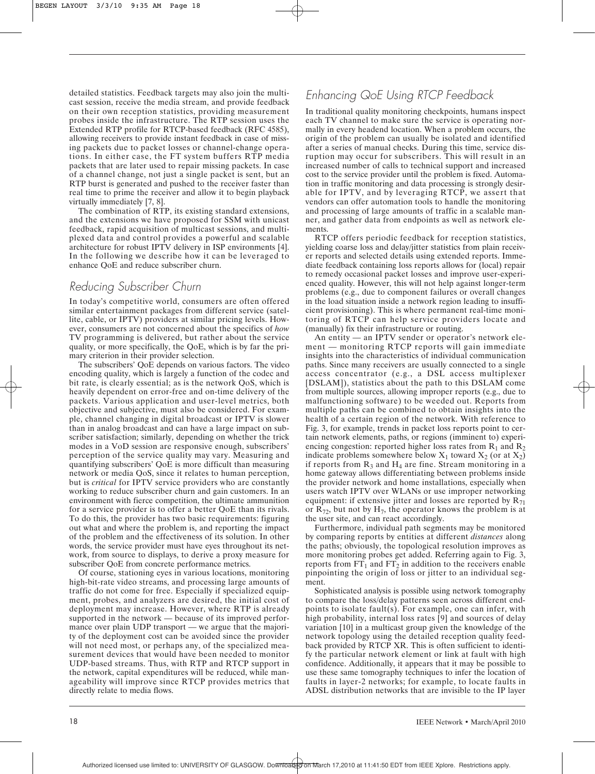detailed statistics. Feedback targets may also join the multicast session, receive the media stream, and provide feedback on their own reception statistics, providing measurement probes inside the infrastructure. The RTP session uses the Extended RTP profile for RTCP-based feedback (RFC 4585), allowing receivers to provide instant feedback in case of missing packets due to packet losses or channel-change operations. In either case, the FT system buffers RTP media packets that are later used to repair missing packets. In case of a channel change, not just a single packet is sent, but an RTP burst is generated and pushed to the receiver faster than real time to prime the receiver and allow it to begin playback virtually immediately [7, 8].

The combination of RTP, its existing standard extensions, and the extensions we have proposed for SSM with unicast feedback, rapid acquisition of multicast sessions, and multiplexed data and control provides a powerful and scalable architecture for robust IPTV delivery in ISP environments [4]. In the following we describe how it can be leveraged to enhance QoE and reduce subscriber churn.

## Reducing Subscriber Churn

In today's competitive world, consumers are often offered similar entertainment packages from different service (satellite, cable, or IPTV) providers at similar pricing levels. However, consumers are not concerned about the specifics of *how* TV programming is delivered, but rather about the service quality, or more specifically, the QoE, which is by far the primary criterion in their provider selection.

The subscribers' QoE depends on various factors. The video encoding quality, which is largely a function of the codec and bit rate, is clearly essential; as is the network QoS, which is heavily dependent on error-free and on-time delivery of the packets. Various application and user-level metrics, both objective and subjective, must also be considered. For example, channel changing in digital broadcast or IPTV is slower than in analog broadcast and can have a large impact on subscriber satisfaction; similarly, depending on whether the trick modes in a VoD session are responsive enough, subscribers' perception of the service quality may vary. Measuring and quantifying subscribers' QoE is more difficult than measuring network or media QoS, since it relates to human perception, but is *critical* for IPTV service providers who are constantly working to reduce subscriber churn and gain customers. In an environment with fierce competition, the ultimate ammunition for a service provider is to offer a better QoE than its rivals. To do this, the provider has two basic requirements: figuring out what and where the problem is, and reporting the impact of the problem and the effectiveness of its solution. In other words, the service provider must have eyes throughout its network, from source to displays, to derive a proxy measure for subscriber QoE from concrete performance metrics.

Of course, stationing eyes in various locations, monitoring high-bit-rate video streams, and processing large amounts of traffic do not come for free. Especially if specialized equipment, probes, and analyzers are desired, the initial cost of deployment may increase. However, where RTP is already supported in the network — because of its improved performance over plain UDP transport — we argue that the majority of the deployment cost can be avoided since the provider will not need most, or perhaps any, of the specialized measurement devices that would have been needed to monitor UDP-based streams. Thus, with RTP and RTCP support in the network, capital expenditures will be reduced, while manageability will improve since RTCP provides metrics that directly relate to media flows.

# Enhancing QoE Using RTCP Feedback

In traditional quality monitoring checkpoints, humans inspect each TV channel to make sure the service is operating normally in every headend location. When a problem occurs, the origin of the problem can usually be isolated and identified after a series of manual checks. During this time, service disruption may occur for subscribers. This will result in an increased number of calls to technical support and increased cost to the service provider until the problem is fixed. Automation in traffic monitoring and data processing is strongly desirable for IPTV, and by leveraging RTCP, we assert that vendors can offer automation tools to handle the monitoring and processing of large amounts of traffic in a scalable manner, and gather data from endpoints as well as network elements.

RTCP offers periodic feedback for reception statistics, yielding coarse loss and delay/jitter statistics from plain receiver reports and selected details using extended reports. Immediate feedback containing loss reports allows for (local) repair to remedy occasional packet losses and improve user-experienced quality. However, this will not help against longer-term problems (e.g., due to component failures or overall changes in the load situation inside a network region leading to insufficient provisioning). This is where permanent real-time monitoring of RTCP can help service providers locate and (manually) fix their infrastructure or routing.

An entity — an IPTV sender or operator's network element — monitoring RTCP reports will gain immediate insights into the characteristics of individual communication paths. Since many receivers are usually connected to a single access concentrator (e.g., a DSL access multiplexer [DSLAM]), statistics about the path to this DSLAM come from multiple sources, allowing improper reports (e.g., due to malfunctioning software) to be weeded out. Reports from multiple paths can be combined to obtain insights into the health of a certain region of the network. With reference to Fig. 3, for example, trends in packet loss reports point to certain network elements, paths, or regions (imminent to) experiencing congestion: reported higher loss rates from  $R_1$  and  $R_2$ indicate problems somewhere below  $X_1$  toward  $X_2$  (or at  $X_2$ ) if reports from  $R_3$  and  $H_4$  are fine. Stream monitoring in a home gateway allows differentiating between problems inside the provider network and home installations, especially when users watch IPTV over WLANs or use improper networking equipment: if extensive jitter and losses are reported by  $R_{71}$ or  $\rm R_{72}$ , but not by  $\rm H_{7}$ , the operator knows the problem is at the user site, and can react accordingly.

Furthermore, individual path segments may be monitored by comparing reports by entities at different *distances* along the paths; obviously, the topological resolution improves as more monitoring probes get added. Referring again to Fig. 3, reports from  $FT_1$  and  $FT_2$  in addition to the receivers enable pinpointing the origin of loss or jitter to an individual segment.

Sophisticated analysis is possible using network tomography to compare the loss/delay patterns seen across different endpoints to isolate fault(s). For example, one can infer, with high probability, internal loss rates [9] and sources of delay variation [10] in a multicast group given the knowledge of the network topology using the detailed reception quality feedback provided by RTCP XR. This is often sufficient to identify the particular network element or link at fault with high confidence. Additionally, it appears that it may be possible to use these same tomography techniques to infer the location of faults in layer-2 networks; for example, to locate faults in ADSL distribution networks that are invisible to the IP layer